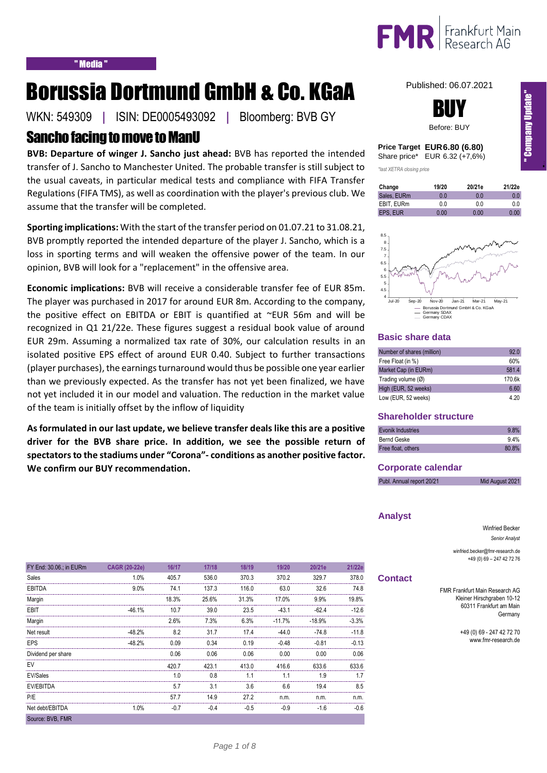

# Borussia Dortmund GmbH & Co. KGaA

# Sancho facing to move to ManU

**BVB: Departure of winger J. Sancho just ahead:** BVB has reported the intended transfer of J. Sancho to Manchester United. The probable transfer is still subject to the usual caveats, in particular medical tests and compliance with FIFA Transfer Regulations (FIFA TMS), as well as coordination with the player's previous club. We assume that the transfer will be completed.

**Sporting implications:** With the start of the transfer period on 01.07.21 to 31.08.21, BVB promptly reported the intended departure of the player J. Sancho, which is a loss in sporting terms and will weaken the offensive power of the team. In our opinion, BVB will look for a "replacement" in the offensive area.

**Economic implications:** BVB will receive a considerable transfer fee of EUR 85m. The player was purchased in 2017 for around EUR 8m. According to the company, the positive effect on EBITDA or EBIT is quantified at ~EUR 56m and will be recognized in Q1 21/22e. These figures suggest a residual book value of around EUR 29m. Assuming a normalized tax rate of 30%, our calculation results in an isolated positive EPS effect of around EUR 0.40. Subject to further transactions (player purchases), the earnings turnaround would thus be possible one year earlier than we previously expected. As the transfer has not yet been finalized, we have not yet included it in our model and valuation. The reduction in the market value of the team is initially offset by the inflow of liquidity

**As formulated in our last update, we believe transfer deals like this are a positive driver for the BVB share price. In addition, we see the possible return of spectators to the stadiums under "Corona"- conditions as another positive factor. We confirm our BUY recommendation.**

# WKN: 549309 **|** ISIN: DE0005493092 **|** Bloomberg: BVB GY



Published: 06.07.2021

| Price Target EUR 6.80 (6.80)  |
|-------------------------------|
| Share price* EUR 6.32 (+7,6%) |

*\*last XETRA closing price*

| Change      | 19/20 | 20/21e | 21/22e |
|-------------|-------|--------|--------|
| Sales, EURm | 0 O   | 0 O    | 0.0    |
| EBIT. EURm  | 0.0   | 0.0    | 0.0    |
| EPS. EUR    | 0.00  | 0.00   | 0.00   |



### **Basic share data**

| Number of shares (million)   | 92.0   |
|------------------------------|--------|
| Free Float (in %)            | 60%    |
| Market Cap (in EURm)         | 581.4  |
| Trading volume $(\emptyset)$ | 170.6k |
| High (EUR, 52 weeks)         | 6.60   |
| Low (EUR, 52 weeks)          | 4.20   |

# **Shareholder structure**

| <b>Evonik Industries</b> | 9.8%  |
|--------------------------|-------|
| Bernd Geske              | 9.4%  |
| Free float, others       | 80.8% |

### **Corporate calendar**

| Mid August 2021<br>Publ. Annual report 20/21 |
|----------------------------------------------|
|----------------------------------------------|

### **Analyst**

Winfried Becker *Senior Analyst*

winfried.becker@fmr-research.de +49 (0) 69 – 247 42 72 76

### **Contact**

FMR Frankfurt Main Research AG Kleiner Hirschgraben 10-12 60311 Frankfurt am Main Germany

> +49 (0) 69 - 247 42 72 70 www.fmr-research.de

| FY End: 30.06.; in EURm | <b>CAGR (20-22e)</b> | 16/17  | 17/18  | 18/19  | 19/20    | 20/21e   | 21/22e  |
|-------------------------|----------------------|--------|--------|--------|----------|----------|---------|
| Sales                   | 1.0%                 | 405.7  | 536.0  | 370.3  | 370.2    | 329.7    | 378.0   |
| <b>EBITDA</b>           | 9.0%                 | 74.1   | 137.3  | 116.0  | 63.0     | 32.6     | 74.8    |
| Margin                  |                      | 18.3%  | 25.6%  | 31.3%  | 17.0%    | 9.9%     | 19.8%   |
| EBIT                    | $-46.1%$             | 10.7   | 39.0   | 23.5   | $-43.1$  | $-62.4$  | $-12.6$ |
| Margin                  |                      | 2.6%   | 7.3%   | 6.3%   | $-11.7%$ | $-18.9%$ | $-3.3%$ |
| Net result              | $-48.2%$             | 8.2    | 31.7   | 17.4   | $-44.0$  | $-74.8$  | $-11.8$ |
| <b>EPS</b>              | $-48.2%$             | 0.09   | 0.34   | 0.19   | $-0.48$  | $-0.81$  | $-0.13$ |
| Dividend per share      |                      | 0.06   | 0.06   | 0.06   | 0.00     | 0.00     | 0.06    |
| EV                      |                      | 420.7  | 423.1  | 413.0  | 416.6    | 633.6    | 633.6   |
| EV/Sales                |                      | 1.0    | 0.8    | 1.1    | 1.1      | 1.9      | 1.7     |
| EV/EBITDA               |                      | 5.7    | 3.1    | 3.6    | 6.6      | 19.4     | 8.5     |
| P/E                     |                      | 57.7   | 14.9   | 27.2   | n.m.     | n.m.     | n.m.    |
| Net debt/EBITDA         | 1.0%                 | $-0.7$ | $-0.4$ | $-0.5$ | $-0.9$   | $-1.6$   | $-0.6$  |
| Source: BVB, FMR        |                      |        |        |        |          |          |         |

In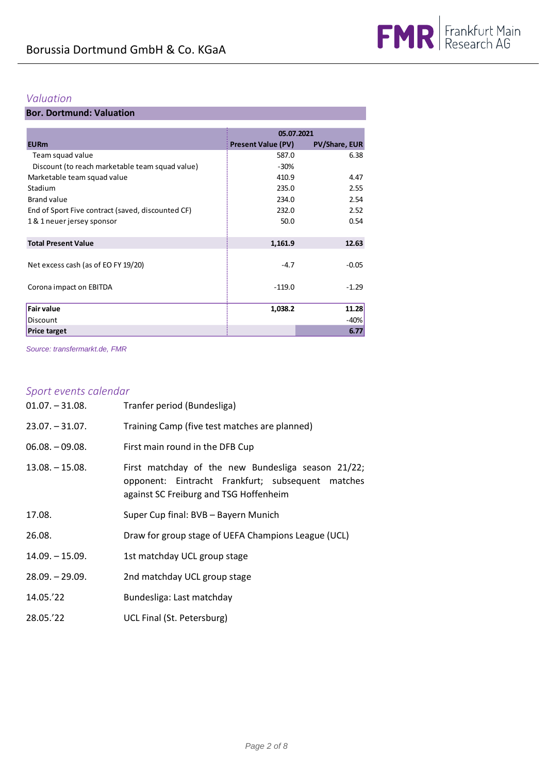# *Valuation*

# **Bor. Dortmund: Valuation**

|                                                   |                           | 05.07.2021           |
|---------------------------------------------------|---------------------------|----------------------|
| <b>EURm</b>                                       | <b>Present Value (PV)</b> | <b>PV/Share, EUR</b> |
| Team squad value                                  | 587.0                     | 6.38                 |
| Discount (to reach marketable team squad value)   | $-30%$                    |                      |
| Marketable team squad value                       | 410.9                     | 4.47                 |
| Stadium                                           | 235.0                     | 2.55                 |
| <b>Brand value</b>                                | 234.0                     | 2.54                 |
| End of Sport Five contract (saved, discounted CF) | 232.0                     | 2.52                 |
| 1 & 1 neuer jersey sponsor                        | 50.0                      | 0.54                 |
| <b>Total Present Value</b>                        | 1,161.9                   | 12.63                |
| Net excess cash (as of EO FY 19/20)               | $-4.7$                    | $-0.05$              |
| Corona impact on EBITDA                           | $-119.0$                  | $-1.29$              |
| <b>Fair value</b>                                 | 1,038.2                   | 11.28                |
| Discount                                          |                           | -40%                 |
| <b>Price target</b>                               |                           | 6.77                 |

*Source: transfermarkt.de, FMR*

# *Sport events calendar*

| $01.07. - 31.08.$ | Tranfer period (Bundesliga)                                                                                                                       |
|-------------------|---------------------------------------------------------------------------------------------------------------------------------------------------|
| $23.07 - 31.07$ . | Training Camp (five test matches are planned)                                                                                                     |
| $06.08 - 09.08$   | First main round in the DFB Cup                                                                                                                   |
| $13.08 - 15.08$   | First matchday of the new Bundesliga season 21/22;<br>opponent: Eintracht Frankfurt; subsequent matches<br>against SC Freiburg and TSG Hoffenheim |
| 17.08.            | Super Cup final: BVB - Bayern Munich                                                                                                              |
| 26.08.            | Draw for group stage of UEFA Champions League (UCL)                                                                                               |
| $14.09 - 15.09.$  | 1st matchday UCL group stage                                                                                                                      |
| $28.09 - 29.09$ . | 2nd matchday UCL group stage                                                                                                                      |
| 14.05.'22         | Bundesliga: Last matchday                                                                                                                         |
| 28.05.'22         | UCL Final (St. Petersburg)                                                                                                                        |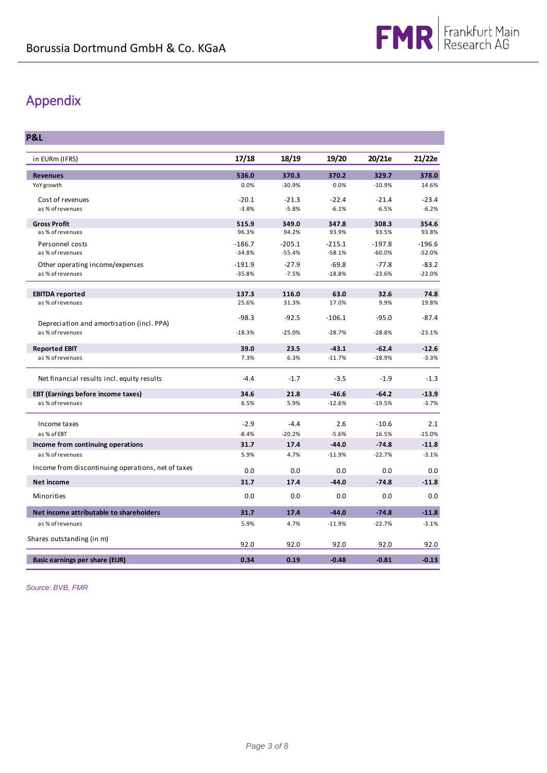# Appendix

**P&L**

| in EURm (IFRS)                                     | 17/18    | 18/19    | 19/20    | 20/21e   | 21/22e   |
|----------------------------------------------------|----------|----------|----------|----------|----------|
| <b>Revenues</b>                                    | 536.0    | 370.3    | 370.2    | 329.7    | 378.0    |
| YoY growth                                         | 0.0%     | $-30.9%$ | 0.0%     | $-10.9%$ | 14.6%    |
| Cost of revenues                                   | $-20.1$  | $-21.3$  | $-22.4$  | $-21.4$  | $-23.4$  |
| as % of revenues                                   | $-3.8%$  | $-5.8%$  | $-6.1%$  | $-6.5%$  | $-6.2%$  |
| <b>Gross Profit</b>                                | 515.9    | 349.0    | 347.8    | 308.3    | 354.6    |
| as % of revenues                                   | 96.3%    | 94.2%    | 93.9%    | 93.5%    | 93.8%    |
| Personnel costs                                    | $-186.7$ | $-205.1$ | $-215.1$ | $-197.8$ | $-196.6$ |
| as % of revenues                                   | $-34.8%$ | $-55.4%$ | $-58.1%$ | $-60.0%$ | $-52.0%$ |
| Other operating income/expenses                    | $-191.9$ | $-27.9$  | $-69.8$  | $-77.8$  | $-83.2$  |
| as % of revenues                                   | $-35.8%$ | $-7.5%$  | $-18.8%$ | $-23.6%$ | $-22.0%$ |
| <b>EBITDA reported</b>                             | 137.3    | 116.0    | 63.0     | 32.6     | 74.8     |
| as % of revenues                                   | 25.6%    | 31.3%    | 17.0%    | 9.9%     | 19.8%    |
|                                                    | $-98.3$  | $-92.5$  | $-106.1$ | $-95.0$  | $-87.4$  |
| Depreciation and amortisation (incl. PPA)          |          |          |          |          |          |
| as % of revenues                                   | $-18.3%$ | $-25.0%$ | $-28.7%$ | $-28.8%$ | $-23.1%$ |
| <b>Reported EBIT</b>                               | 39.0     | 23.5     | $-43.1$  | $-62.4$  | $-12.6$  |
| as % of revenues                                   | 7.3%     | 6.3%     | $-11.7%$ | $-18.9%$ | $-3.3%$  |
| Net financial results incl. equity results         | $-4.4$   | $-1.7$   | $-3.5$   | $-1.9$   | $-1.3$   |
| <b>EBT (Earnings before income taxes)</b>          | 34.6     | 21.8     | $-46.6$  | $-64.2$  | $-13.9$  |
| as % of revenues                                   | 6.5%     | 5.9%     | $-12.6%$ | $-19.5%$ | $-3.7%$  |
| Income taxes                                       | $-2.9$   | $-4.4$   | 2.6      | $-10.6$  | 2.1      |
| as % of EBT                                        | $-8.4%$  | $-20.2%$ | $-5.6%$  | 16.5%    | $-15.0%$ |
| Income from continuing operations                  | 31.7     | 17.4     | $-44.0$  | $-74.8$  | $-11.8$  |
| as % of revenues                                   | 5.9%     | 4.7%     | $-11.9%$ | $-22.7%$ | $-3.1%$  |
| Income from discontinuing operations, net of taxes | 0.0      | 0.0      | 0.0      | 0.0      | 0.0      |
| <b>Net income</b>                                  | 31.7     | 17.4     | $-44.0$  | $-74.8$  | $-11.8$  |
| Minorities                                         | 0.0      | 0.0      | 0.0      | 0.0      | 0.0      |
| Net income attributable to shareholders            | 31.7     | 17.4     | $-44.0$  | $-74.8$  | $-11.8$  |
| as % of revenues                                   | 5.9%     | 4.7%     | $-11.9%$ | $-22.7%$ | $-3.1%$  |
| Shares outstanding (in m)                          |          |          |          |          |          |
|                                                    | 92.0     | 92.0     | 92.0     | 92.0     | 92.0     |
| Basic earnings per share (EUR)                     | 0.34     | 0.19     | $-0.48$  | $-0.81$  | $-0.13$  |

*Source: BVB, FMR*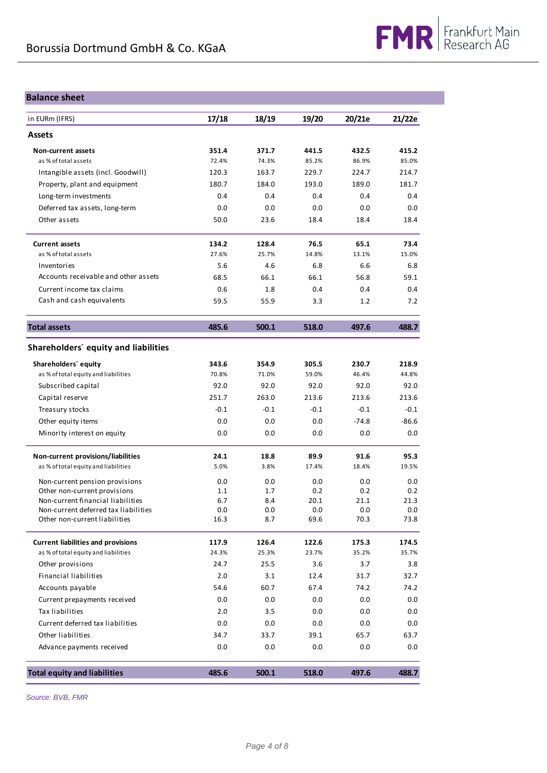## **Balance sheet**

| in EURm (IFRS)                                                            | 17/18      | 18/19      | 19/20       | 20/21e      | 21/22e      |
|---------------------------------------------------------------------------|------------|------------|-------------|-------------|-------------|
| <b>Assets</b>                                                             |            |            |             |             |             |
| <b>Non-current assets</b>                                                 | 351.4      | 371.7      | 441.5       | 432.5       | 415.2       |
| as % of total assets                                                      | 72.4%      | 74.3%      | 85.2%       | 86.9%       | 85.0%       |
| Intangible assets (incl. Goodwill)                                        | 120.3      | 163.7      | 229.7       | 224.7       | 214.7       |
| Property, plant and equipment                                             | 180.7      | 184.0      | 193.0       | 189.0       | 181.7       |
| Long-term investments                                                     | 0.4        | 0.4        | 0.4         | 0.4         | 0.4         |
| Deferred tax assets, long-term                                            | 0.0        | 0.0        | 0.0         | 0.0         | 0.0         |
| Other assets                                                              | 50.0       | 23.6       | 18.4        | 18.4        | 18.4        |
| <b>Current assets</b>                                                     | 134.2      | 128.4      | 76.5        | 65.1        | 73.4        |
| as % of total assets                                                      | 27.6%      | 25.7%      | 14.8%       | 13.1%       | 15.0%       |
| Inventories                                                               | 5.6        | 4.6        | 6.8         | 6.6         | 6.8         |
| Accounts receivable and other assets                                      | 68.5       | 66.1       | 66.1        | 56.8        | 59.1        |
| Current income tax claims                                                 | 0.6        | 1.8        | 0.4         | 0.4         | 0.4         |
| Cash and cash equivalents                                                 | 59.5       | 55.9       | 3.3         | 1.2         | 7.2         |
| <b>Total assets</b>                                                       | 485.6      | 500.1      | 518.0       | 497.6       | 488.7       |
| Shareholders' equity and liabilities                                      |            |            |             |             |             |
| Shareholders' equity                                                      | 343.6      | 354.9      | 305.5       | 230.7       | 218.9       |
| as % of total equity and liabilities                                      | 70.8%      | 71.0%      | 59.0%       | 46.4%       | 44.8%       |
| Subscribed capital                                                        | 92.0       | 92.0       | 92.0        | 92.0        | 92.0        |
| Capital reserve                                                           | 251.7      | 263.0      | 213.6       | 213.6       | 213.6       |
| Treasury stocks                                                           | $-0.1$     | $-0.1$     | $-0.1$      | $-0.1$      | $-0.1$      |
| Other equity items                                                        | 0.0        | 0.0        | 0.0         | $-74.8$     | $-86.6$     |
| Minority interest on equity                                               | 0.0        | 0.0        | 0.0         | 0.0         | 0.0         |
| Non-current provisions/liabilities                                        | 24.1       | 18.8       | 89.9        | 91.6        | 95.3        |
| as % of total equity and liabilities                                      | 5.0%       | 3.8%       | 17.4%       | 18.4%       | 19.5%       |
| Non-current pension provisions                                            | 0.0        | 0.0        | 0.0         | 0.0         | 0.0         |
| Other non-current provisions                                              | 1.1        | 1.7        | 0.2         | 0.2         | 0.2         |
| Non-current financial liabilities<br>Non-current deferred tax liabilities | 6.7<br>0.0 | 8.4<br>0.0 | 20.1<br>0.0 | 21.1<br>0.0 | 21.3<br>0.0 |
| Other non-current liabilities                                             | 16.3       | 8.7        | 69.6        | 70.3        | 73.8        |
| <b>Current liabilities and provisions</b>                                 | 117.9      | 126.4      | 122.6       | 175.3       | 174.5       |
| as % of total equity and liabilities                                      | 24.3%      | 25.3%      | 23.7%       | 35.2%       | 35.7%       |
| Other provisions                                                          | 24.7       | 25.5       | 3.6         | 3.7         | 3.8         |
| <b>Financial liabilities</b>                                              | 2.0        | 3.1        | 12.4        | 31.7        | 32.7        |
| Accounts payable                                                          | 54.6       | 60.7       | 67.4        | 74.2        | 74.2        |
| Current prepayments received                                              | 0.0        | 0.0        | 0.0         | 0.0         | 0.0         |
| Tax liabilities                                                           | 2.0        | 3.5        | 0.0         | 0.0         | 0.0         |
| Current deferred tax liabilities                                          | 0.0        | 0.0        | 0.0         | 0.0         | 0.0         |
| Other liabilities                                                         | 34.7       | 33.7       | 39.1        | 65.7        | 63.7        |
| Advance payments received                                                 | 0.0        | 0.0        | 0.0         | 0.0         | 0.0         |
| <b>Total equity and liabilities</b>                                       | 485.6      | 500.1      | 518.0       | 497.6       | 488.7       |

*Source: BVB, FMR*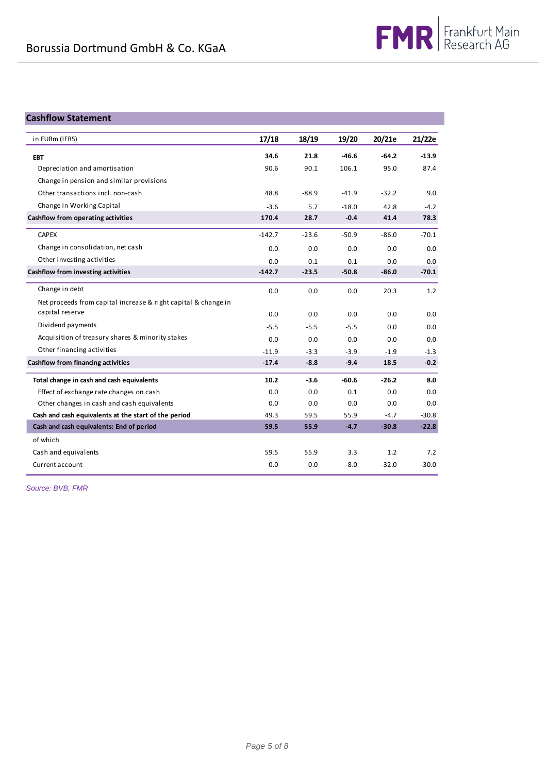# **Cashflow Statement**

| in EURm (IFRS)                                                 | 17/18    | 18/19   | 19/20   | 20/21e  | 21/22e  |
|----------------------------------------------------------------|----------|---------|---------|---------|---------|
| <b>EBT</b>                                                     | 34.6     | 21.8    | $-46.6$ | $-64.2$ | $-13.9$ |
| Depreciation and amortisation                                  | 90.6     | 90.1    | 106.1   | 95.0    | 87.4    |
| Change in pension and similar provisions                       |          |         |         |         |         |
| Other transactions incl. non-cash                              | 48.8     | $-88.9$ | $-41.9$ | $-32.2$ | 9.0     |
| Change in Working Capital                                      | $-3.6$   | 5.7     | $-18.0$ | 42.8    | $-4.2$  |
| Cashflow from operating activities                             | 170.4    | 28.7    | $-0.4$  | 41.4    | 78.3    |
| <b>CAPEX</b>                                                   | $-142.7$ | $-23.6$ | $-50.9$ | $-86.0$ | $-70.1$ |
| Change in consolidation, net cash                              | 0.0      | 0.0     | 0.0     | 0.0     | 0.0     |
| Other investing activities                                     | 0.0      | 0.1     | 0.1     | 0.0     | 0.0     |
| <b>Cashflow from investing activities</b>                      | $-142.7$ | $-23.5$ | $-50.8$ | $-86.0$ | $-70.1$ |
| Change in debt                                                 | 0.0      | 0.0     | 0.0     | 20.3    | 1.2     |
| Net proceeds from capital increase & right capital & change in |          |         |         |         |         |
| capital reserve                                                | 0.0      | 0.0     | 0.0     | 0.0     | 0.0     |
| Dividend payments                                              | $-5.5$   | $-5.5$  | $-5.5$  | 0.0     | 0.0     |
| Acquisition of treasury shares & minority stakes               | 0.0      | 0.0     | 0.0     | 0.0     | 0.0     |
| Other financing activities                                     | $-11.9$  | $-3.3$  | $-3.9$  | $-1.9$  | $-1.3$  |
| <b>Cashflow from financing activities</b>                      | $-17.4$  | $-8.8$  | $-9.4$  | 18.5    | $-0.2$  |
| Total change in cash and cash equivalents                      | 10.2     | $-3.6$  | $-60.6$ | $-26.2$ | 8.0     |
| Effect of exchange rate changes on cash                        | 0.0      | 0.0     | 0.1     | 0.0     | 0.0     |
| Other changes in cash and cash equivalents                     | 0.0      | 0.0     | 0.0     | 0.0     | 0.0     |
| Cash and cash equivalents at the start of the period           | 49.3     | 59.5    | 55.9    | $-4.7$  | $-30.8$ |
| Cash and cash equivalents: End of period                       | 59.5     | 55.9    | $-4.7$  | $-30.8$ | $-22.8$ |
| of which                                                       |          |         |         |         |         |
| Cash and equivalents                                           | 59.5     | 55.9    | 3.3     | 1.2     | 7.2     |
| Current account                                                | 0.0      | 0.0     | $-8.0$  | $-32.0$ | $-30.0$ |

*Source: BVB, FMR*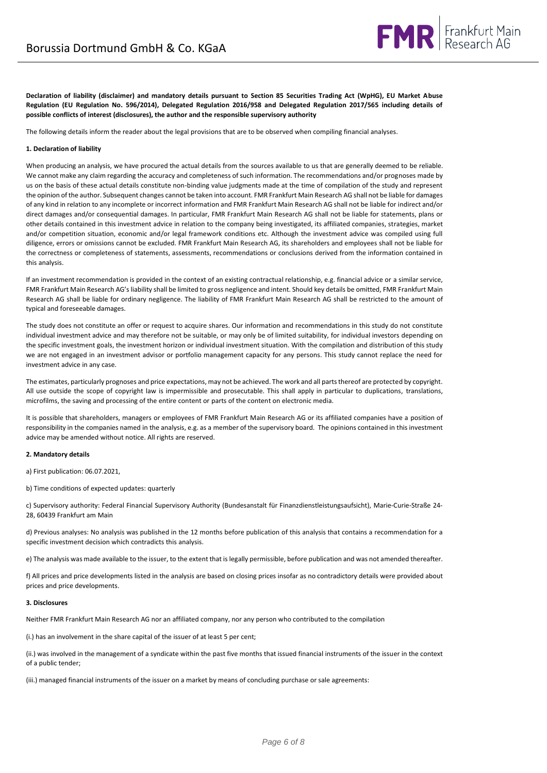

**Declaration of liability (disclaimer) and mandatory details pursuant to Section 85 Securities Trading Act (WpHG), EU Market Abuse Regulation (EU Regulation No. 596/2014), Delegated Regulation 2016/958 and Delegated Regulation 2017/565 including details of possible conflicts of interest (disclosures), the author and the responsible supervisory authority**

The following details inform the reader about the legal provisions that are to be observed when compiling financial analyses.

#### **1. Declaration of liability**

When producing an analysis, we have procured the actual details from the sources available to us that are generally deemed to be reliable. We cannot make any claim regarding the accuracy and completeness of such information. The recommendations and/or prognoses made by us on the basis of these actual details constitute non-binding value judgments made at the time of compilation of the study and represent the opinion of the author. Subsequent changes cannot be taken into account. FMR Frankfurt Main Research AG shall not be liable for damages of any kind in relation to any incomplete or incorrect information and FMR Frankfurt Main Research AG shall not be liable for indirect and/or direct damages and/or consequential damages. In particular, FMR Frankfurt Main Research AG shall not be liable for statements, plans or other details contained in this investment advice in relation to the company being investigated, its affiliated companies, strategies, market and/or competition situation, economic and/or legal framework conditions etc. Although the investment advice was compiled using full diligence, errors or omissions cannot be excluded. FMR Frankfurt Main Research AG, its shareholders and employees shall not be liable for the correctness or completeness of statements, assessments, recommendations or conclusions derived from the information contained in this analysis.

If an investment recommendation is provided in the context of an existing contractual relationship, e.g. financial advice or a similar service, FMR Frankfurt Main Research AG's liability shall be limited to gross negligence and intent. Should key details be omitted, FMR Frankfurt Main Research AG shall be liable for ordinary negligence. The liability of FMR Frankfurt Main Research AG shall be restricted to the amount of typical and foreseeable damages.

The study does not constitute an offer or request to acquire shares. Our information and recommendations in this study do not constitute individual investment advice and may therefore not be suitable, or may only be of limited suitability, for individual investors depending on the specific investment goals, the investment horizon or individual investment situation. With the compilation and distribution of this study we are not engaged in an investment advisor or portfolio management capacity for any persons. This study cannot replace the need for investment advice in any case.

The estimates, particularly prognoses and price expectations, may not be achieved. The work and all parts thereof are protected by copyright. All use outside the scope of copyright law is impermissible and prosecutable. This shall apply in particular to duplications, translations, microfilms, the saving and processing of the entire content or parts of the content on electronic media.

It is possible that shareholders, managers or employees of FMR Frankfurt Main Research AG or its affiliated companies have a position of responsibility in the companies named in the analysis, e.g. as a member of the supervisory board. The opinions contained in this investment advice may be amended without notice. All rights are reserved.

#### **2. Mandatory details**

a) First publication: 06.07.2021,

b) Time conditions of expected updates: quarterly

c) Supervisory authority: Federal Financial Supervisory Authority (Bundesanstalt für Finanzdienstleistungsaufsicht), Marie-Curie-Straße 24- 28, 60439 Frankfurt am Main

d) Previous analyses: No analysis was published in the 12 months before publication of this analysis that contains a recommendation for a specific investment decision which contradicts this analysis.

e) The analysis was made available to the issuer, to the extent that is legally permissible, before publication and was not amended thereafter.

f) All prices and price developments listed in the analysis are based on closing prices insofar as no contradictory details were provided about prices and price developments.

#### **3. Disclosures**

Neither FMR Frankfurt Main Research AG nor an affiliated company, nor any person who contributed to the compilation

(i.) has an involvement in the share capital of the issuer of at least 5 per cent;

(ii.) was involved in the management of a syndicate within the past five months that issued financial instruments of the issuer in the context of a public tender;

(iii.) managed financial instruments of the issuer on a market by means of concluding purchase or sale agreements: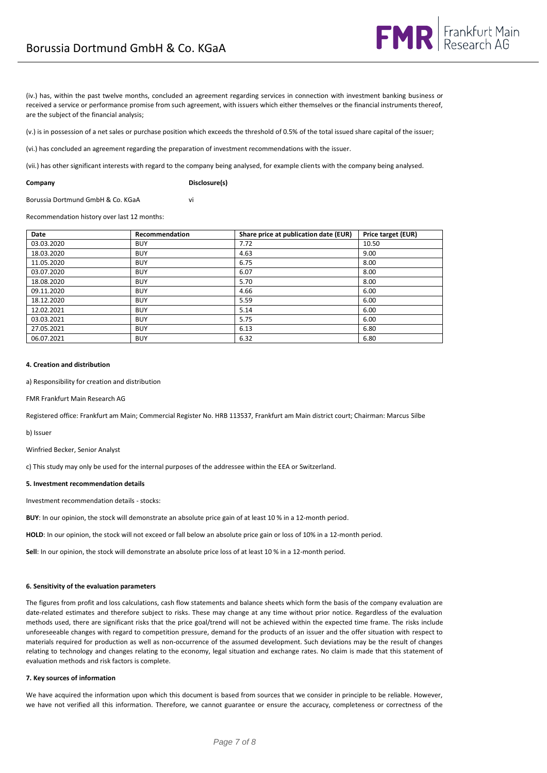(iv.) has, within the past twelve months, concluded an agreement regarding services in connection with investment banking business or received a service or performance promise from such agreement, with issuers which either themselves or the financial instruments thereof, are the subject of the financial analysis;

(v.) is in possession of a net sales or purchase position which exceeds the threshold of 0.5% of the total issued share capital of the issuer;

(vi.) has concluded an agreement regarding the preparation of investment recommendations with the issuer.

(vii.) has other significant interests with regard to the company being analysed, for example clients with the company being analysed.

**Company Disclosure(s)**

Borussia Dortmund GmbH & Co. KGaA vi

Recommendation history over last 12 months:

| Date       | Recommendation | Share price at publication date (EUR) | Price target (EUR) |
|------------|----------------|---------------------------------------|--------------------|
| 03.03.2020 | <b>BUY</b>     | 7.72                                  | 10.50              |
| 18.03.2020 | <b>BUY</b>     | 4.63                                  | 9.00               |
| 11.05.2020 | <b>BUY</b>     | 6.75                                  | 8.00               |
| 03.07.2020 | <b>BUY</b>     | 6.07                                  | 8.00               |
| 18.08.2020 | <b>BUY</b>     | 5.70                                  | 8.00               |
| 09.11.2020 | <b>BUY</b>     | 4.66                                  | 6.00               |
| 18.12.2020 | <b>BUY</b>     | 5.59                                  | 6.00               |
| 12.02.2021 | <b>BUY</b>     | 5.14                                  | 6.00               |
| 03.03.2021 | <b>BUY</b>     | 5.75                                  | 6.00               |
| 27.05.2021 | <b>BUY</b>     | 6.13                                  | 6.80               |
| 06.07.2021 | <b>BUY</b>     | 6.32                                  | 6.80               |

#### **4. Creation and distribution**

a) Responsibility for creation and distribution

FMR Frankfurt Main Research AG

Registered office: Frankfurt am Main; Commercial Register No. HRB 113537, Frankfurt am Main district court; Chairman: Marcus Silbe

b) Issuer

Winfried Becker, Senior Analyst

c) This study may only be used for the internal purposes of the addressee within the EEA or Switzerland.

#### **5. Investment recommendation details**

Investment recommendation details - stocks:

**BUY**: In our opinion, the stock will demonstrate an absolute price gain of at least 10 % in a 12-month period.

**HOLD**: In our opinion, the stock will not exceed or fall below an absolute price gain or loss of 10% in a 12-month period.

**Sell**: In our opinion, the stock will demonstrate an absolute price loss of at least 10 % in a 12-month period.

#### **6. Sensitivity of the evaluation parameters**

The figures from profit and loss calculations, cash flow statements and balance sheets which form the basis of the company evaluation are date-related estimates and therefore subject to risks. These may change at any time without prior notice. Regardless of the evaluation methods used, there are significant risks that the price goal/trend will not be achieved within the expected time frame. The risks include unforeseeable changes with regard to competition pressure, demand for the products of an issuer and the offer situation with respect to materials required for production as well as non-occurrence of the assumed development. Such deviations may be the result of changes relating to technology and changes relating to the economy, legal situation and exchange rates. No claim is made that this statement of evaluation methods and risk factors is complete.

#### **7. Key sources of information**

We have acquired the information upon which this document is based from sources that we consider in principle to be reliable. However, we have not verified all this information. Therefore, we cannot guarantee or ensure the accuracy, completeness or correctness of the